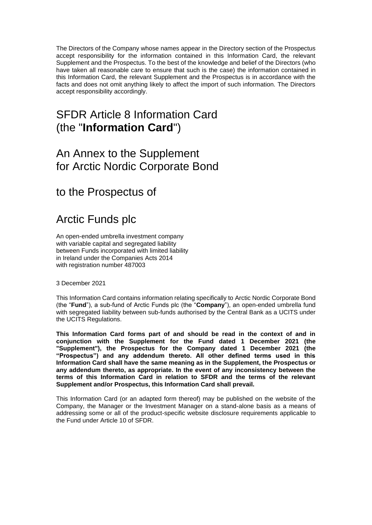The Directors of the Company whose names appear in the Directory section of the Prospectus accept responsibility for the information contained in this Information Card, the relevant Supplement and the Prospectus. To the best of the knowledge and belief of the Directors (who have taken all reasonable care to ensure that such is the case) the information contained in this Information Card, the relevant Supplement and the Prospectus is in accordance with the facts and does not omit anything likely to affect the import of such information. The Directors accept responsibility accordingly.

# SFDR Article 8 Information Card (the "**Information Card**")

## An Annex to the Supplement for Arctic Nordic Corporate Bond

to the Prospectus of

# Arctic Funds plc

An open-ended umbrella investment company with variable capital and segregated liability between Funds incorporated with limited liability in Ireland under the Companies Acts 2014 with registration number 487003

3 December 2021

This Information Card contains information relating specifically to Arctic Nordic Corporate Bond (the "**Fund**"), a sub-fund of Arctic Funds plc (the "**Company**"), an open-ended umbrella fund with segregated liability between sub-funds authorised by the Central Bank as a UCITS under the UCITS Regulations.

**This Information Card forms part of and should be read in the context of and in conjunction with the Supplement for the Fund dated 1 December 2021 (the "Supplement"), the Prospectus for the Company dated 1 December 2021 (the "Prospectus") and any addendum thereto. All other defined terms used in this Information Card shall have the same meaning as in the Supplement, the Prospectus or any addendum thereto, as appropriate. In the event of any inconsistency between the terms of this Information Card in relation to SFDR and the terms of the relevant Supplement and/or Prospectus, this Information Card shall prevail.**

This Information Card (or an adapted form thereof) may be published on the website of the Company, the Manager or the Investment Manager on a stand-alone basis as a means of addressing some or all of the product-specific website disclosure requirements applicable to the Fund under Article 10 of SFDR.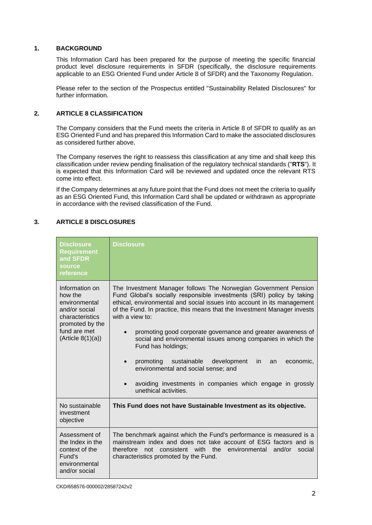#### **1. BACKGROUND**

This Information Card has been prepared for the purpose of meeting the specific financial product level disclosure requirements in SFDR (specifically, the disclosure requirements applicable to an ESG Oriented Fund under Article 8 of SFDR) and the Taxonomy Regulation.

Please refer to the section of the Prospectus entitled "Sustainability Related Disclosures" for further information.

### **2. ARTICLE 8 CLASSIFICATION**

The Company considers that the Fund meets the criteria in Article 8 of SFDR to qualify as an ESG Oriented Fund and has prepared this Information Card to make the associated disclosures as considered further above.

The Company reserves the right to reassess this classification at any time and shall keep this classification under review pending finalisation of the regulatory technical standards ("**RTS**"). It is expected that this Information Card will be reviewed and updated once the relevant RTS come into effect.

If the Company determines at any future point that the Fund does not meet the criteria to qualify as an ESG Oriented Fund, this Information Card shall be updated or withdrawn as appropriate in accordance with the revised classification of the Fund.

### **3. ARTICLE 8 DISCLOSURES**

| <b>Disclosure</b><br><b>Requirement</b><br>and SFDR<br>source<br>reference                                                              | Disclosure                                                                                                                                                                                                                                                                                                                                                                                                                                                                                                                                                                                                                                                              |
|-----------------------------------------------------------------------------------------------------------------------------------------|-------------------------------------------------------------------------------------------------------------------------------------------------------------------------------------------------------------------------------------------------------------------------------------------------------------------------------------------------------------------------------------------------------------------------------------------------------------------------------------------------------------------------------------------------------------------------------------------------------------------------------------------------------------------------|
| Information on<br>how the<br>environmental<br>and/or social<br>characteristics<br>promoted by the<br>fund are met<br>(Ariticle 8(1)(a)) | The Investment Manager follows The Norwegian Government Pension<br>Fund Global's socially responsible investments (SRI) policy by taking<br>ethical, environmental and social issues into account in its management<br>of the Fund. In practice, this means that the Investment Manager invests<br>with a view to:<br>promoting good corporate governance and greater awareness of<br>social and environmental issues among companies in which the<br>Fund has holdings;<br>promoting<br>sustainable development<br>in.<br>an<br>economic,<br>environmental and social sense; and<br>avoiding investments in companies which engage in grossly<br>unethical activities. |
| No sustainable<br>investment<br>objective                                                                                               | This Fund does not have Sustainable Investment as its objective.                                                                                                                                                                                                                                                                                                                                                                                                                                                                                                                                                                                                        |
| Assessment of<br>the Index in the<br>context of the<br>Fund's<br>environmental<br>and/or social                                         | The benchmark against which the Fund's performance is measured is a<br>mainstream index and does not take account of ESG factors and is<br>consistent with the environmental<br>therefore<br>not<br>and/or<br>social<br>characteristics promoted by the Fund.                                                                                                                                                                                                                                                                                                                                                                                                           |